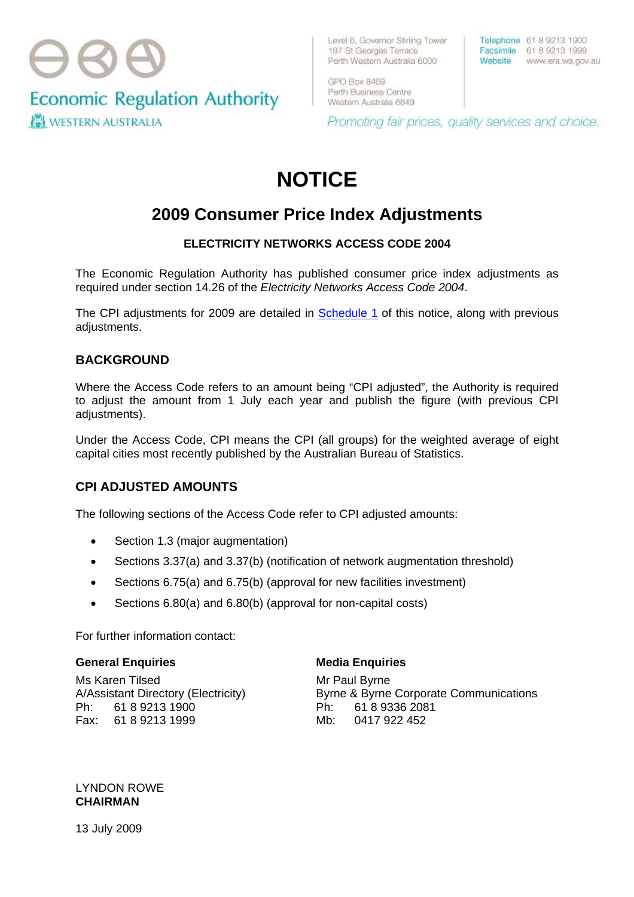

Level 6, Governor Stirling Tower 197 St Georges Terrace Perth Western Australia 6000

GPO Box 8469 Perth Business Centre Western Australia 6849 Telephone 61 8 9213 1900 Facsimile 61 8 9213 1999 Website www.era.wa.gov.au

Promoting fair prices, quality services and choice.

# **NOTICE**

## **2009 Consumer Price Index Adjustments**

#### **ELECTRICITY NETWORKS ACCESS CODE 2004**

The Economic Regulation Authority has published consumer price index adjustments as required under section 14.26 of the *Electricity Networks Access Code 2004*.

The CPI adjustments for 2009 are detailed in [Schedule 1](#page-1-0) of this notice, along with previous adjustments.

#### **BACKGROUND**

Where the Access Code refers to an amount being "CPI adjusted", the Authority is required to adjust the amount from 1 July each year and publish the figure (with previous CPI adjustments).

Under the Access Code, CPI means the CPI (all groups) for the weighted average of eight capital cities most recently published by the Australian Bureau of Statistics.

### **CPI ADJUSTED AMOUNTS**

The following sections of the Access Code refer to CPI adjusted amounts:

- Section 1.3 (major augmentation)
- Sections 3.37(a) and 3.37(b) (notification of network augmentation threshold)
- Sections 6.75(a) and 6.75(b) (approval for new facilities investment)
- Sections 6.80(a) and 6.80(b) (approval for non-capital costs)

For further information contact:

#### **General Enquiries**

Ms Karen Tilsed A/Assistant Directory (Electricity) Ph: 61 8 9213 1900 Fax: 61 8 9213 1999

#### **Media Enquiries**

Mr Paul Byrne Byrne & Byrne Corporate Communications Ph: 61 8 9336 2081 Mb: 0417 922 452

LYNDON ROWE **CHAIRMAN** 

13 July 2009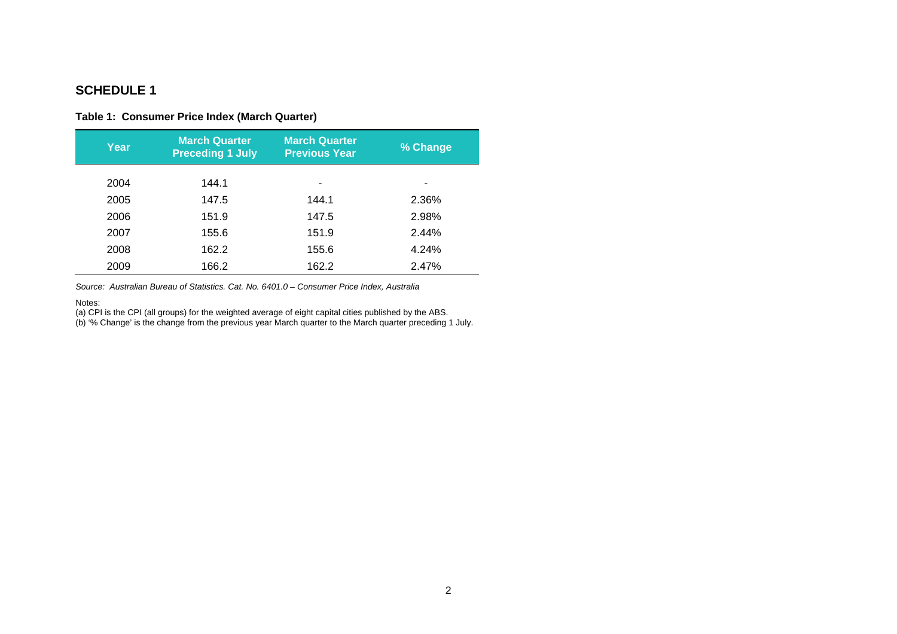#### <span id="page-1-0"></span>**SCHEDULE 1**

#### **Table 1: Consumer Price Index (March Quarter)**

| <b>Year</b> | <b>March Quarter</b><br><b>Preceding 1 July</b> | <b>March Quarter</b><br><b>Previous Year</b> | % Change |
|-------------|-------------------------------------------------|----------------------------------------------|----------|
| 2004        | 144.1                                           |                                              |          |
| 2005        | 147.5                                           | 144.1                                        | 2.36%    |
| 2006        | 151.9                                           | 147.5                                        | 2.98%    |
| 2007        | 155.6                                           | 151.9                                        | 2.44%    |
| 2008        | 162.2                                           | 155.6                                        | 4.24%    |
| 2009        | 166.2                                           | 162.2                                        | 2.47%    |

*Source: Australian Bureau of Statistics. Cat. No. 6401.0 – Consumer Price Index, Australia* 

#### Notes:

(a) CPI is the CPI (all groups) for the weighted average of eight capital cities published by the ABS.

(b) '% Change' is the change from the previous year March quarter to the March quarter preceding 1 July.